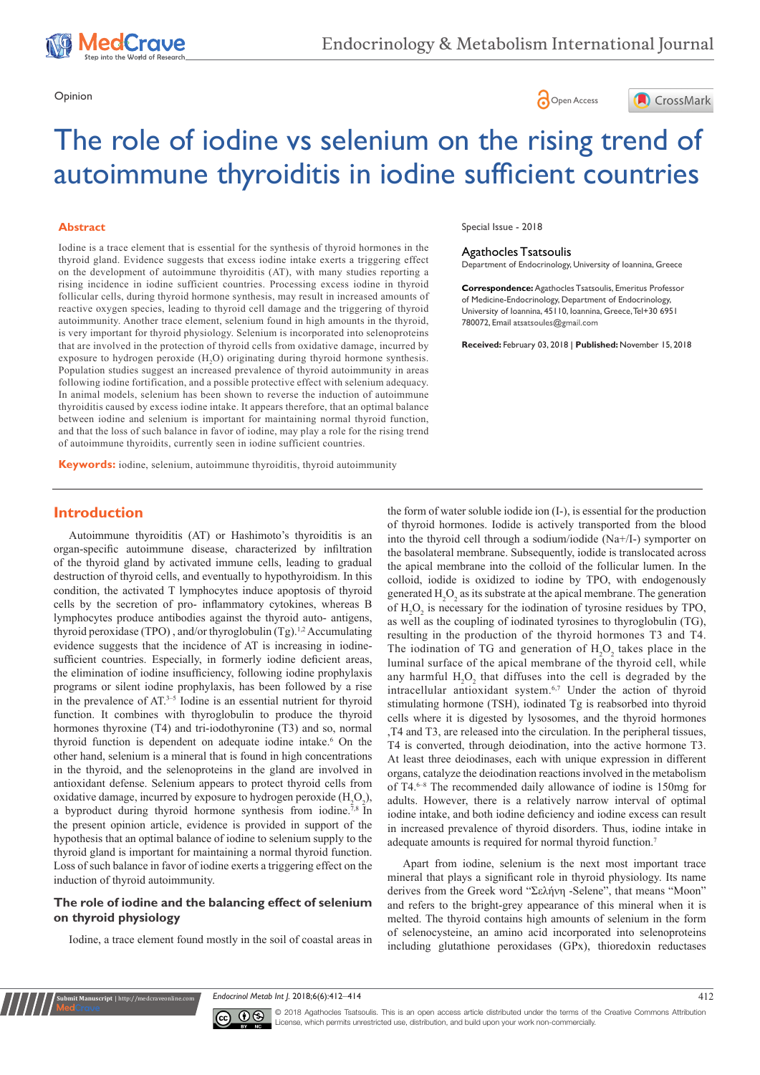





# The role of iodine vs selenium on the rising trend of autoimmune thyroiditis in iodine sufficient countries

#### **Abstract**

Iodine is a trace element that is essential for the synthesis of thyroid hormones in the thyroid gland. Evidence suggests that excess iodine intake exerts a triggering effect on the development of autoimmune thyroiditis (AT), with many studies reporting a rising incidence in iodine sufficient countries. Processing excess iodine in thyroid follicular cells, during thyroid hormone synthesis, may result in increased amounts of reactive oxygen species, leading to thyroid cell damage and the triggering of thyroid autoimmunity. Another trace element, selenium found in high amounts in the thyroid, is very important for thyroid physiology. Selenium is incorporated into selenoproteins that are involved in the protection of thyroid cells from oxidative damage, incurred by exposure to hydrogen peroxide  $(H_2O)$  originating during thyroid hormone synthesis. Population studies suggest an increased prevalence of thyroid autoimmunity in areas following iodine fortification, and a possible protective effect with selenium adequacy. In animal models, selenium has been shown to reverse the induction of autoimmune thyroiditis caused by excess iodine intake. It appears therefore, that an optimal balance between iodine and selenium is important for maintaining normal thyroid function, and that the loss of such balance in favor of iodine, may play a role for the rising trend of autoimmune thyroidits, currently seen in iodine sufficient countries.

**Keywords:** iodine, selenium, autoimmune thyroiditis, thyroid autoimmunity

#### Special Issue - 2018

# Agathocles Tsatsoulis

Department of Endocrinology, University of Ioannina, Greece

**Correspondence:** Agathocles Tsatsoulis, Emeritus Professor of Medicine-Endocrinology, Department of Endocrinology, University of Ioannina, 45110, Ioannina, Greece, Tel+30 6951 780072, Email atsatsoules@gmail.com

**Received:** February 03, 2018 | **Published:** November 15, 2018

# **Introduction**

Autoimmune thyroiditis (AT) or Hashimoto's thyroiditis is an organ-specific autoimmune disease, characterized by infiltration of the thyroid gland by activated immune cells, leading to gradual destruction of thyroid cells, and eventually to hypothyroidism. In this condition, the activated T lymphocytes induce apoptosis of thyroid cells by the secretion of pro- inflammatory cytokines, whereas B lymphocytes produce antibodies against the thyroid auto- antigens, thyroid peroxidase (TPO), and/or thyroglobulin (Tg).<sup>1,2</sup> Accumulating evidence suggests that the incidence of AT is increasing in iodinesufficient countries. Especially, in formerly iodine deficient areas, the elimination of iodine insufficiency, following iodine prophylaxis programs or silent iodine prophylaxis, has been followed by a rise in the prevalence of AT. $3-5$  Iodine is an essential nutrient for thyroid function. It combines with thyroglobulin to produce the thyroid hormones thyroxine (T4) and tri-iodothyronine (T3) and so, normal thyroid function is dependent on adequate iodine intake.<sup>6</sup> On the other hand, selenium is a mineral that is found in high concentrations in the thyroid, and the selenoproteins in the gland are involved in antioxidant defense. Selenium appears to protect thyroid cells from oxidative damage, incurred by exposure to hydrogen peroxide  $(H_2O_2)$ , a byproduct during thyroid hormone synthesis from iodine.<sup>7,8</sup> In the present opinion article, evidence is provided in support of the hypothesis that an optimal balance of iodine to selenium supply to the thyroid gland is important for maintaining a normal thyroid function. Loss of such balance in favor of iodine exerts a triggering effect on the induction of thyroid autoimmunity.

## **The role of iodine and the balancing effect of selenium on thyroid physiology**

**it Manuscript** | http://medcraveonline

Iodine, a trace element found mostly in the soil of coastal areas in

the form of water soluble iodide ion (I-), is essential for the production of thyroid hormones. Iodide is actively transported from the blood into the thyroid cell through a sodium/iodide (Na+/I-) symporter on the basolateral membrane. Subsequently, iodide is translocated across the apical membrane into the colloid of the follicular lumen. In the colloid, iodide is oxidized to iodine by TPO, with endogenously generated  $H_2O_2$  as its substrate at the apical membrane. The generation of  $H_2O_2$  is necessary for the iodination of tyrosine residues by TPO, as well as the coupling of iodinated tyrosines to thyroglobulin (TG), resulting in the production of the thyroid hormones T3 and T4. The iodination of TG and generation of  $H_2O_2$  takes place in the luminal surface of the apical membrane of the thyroid cell, while any harmful  $H_2O_2$  that diffuses into the cell is degraded by the intracellular antioxidant system.6,7 Under the action of thyroid stimulating hormone (TSH), iodinated Tg is reabsorbed into thyroid cells where it is digested by lysosomes, and the thyroid hormones ,T4 and T3, are released into the circulation. In the peripheral tissues, T4 is converted, through deiodination, into the active hormone T3. At least three deiodinases, each with unique expression in different organs, catalyze the deiodination reactions involved in the metabolism of T4.<sup>6-8</sup> The recommended daily allowance of iodine is 150mg for adults. However, there is a relatively narrow interval of optimal iodine intake, and both iodine deficiency and iodine excess can result in increased prevalence of thyroid disorders. Thus, iodine intake in adequate amounts is required for normal thyroid function.<sup>7</sup>

Apart from iodine, selenium is the next most important trace mineral that plays a significant role in thyroid physiology. Its name derives from the Greek word "Σελήνη -Selene", that means "Moon" and refers to the bright-grey appearance of this mineral when it is melted. The thyroid contains high amounts of selenium in the form of selenocysteine, an amino acid incorporated into selenoproteins including glutathione peroxidases (GPx), thioredoxin reductases

*Endocrinol Metab Int J.* 2018;6(6):412‒414 412



© 2018 Agathocles Tsatsoulis. This is an open access article distributed under the terms of the [Creative Commons Attribution](https://creativecommons.org/licenses/by-nc/4.0/)  [License](https://creativecommons.org/licenses/by-nc/4.0/), which permits unrestricted use, distribution, and build upon your work non-commercially.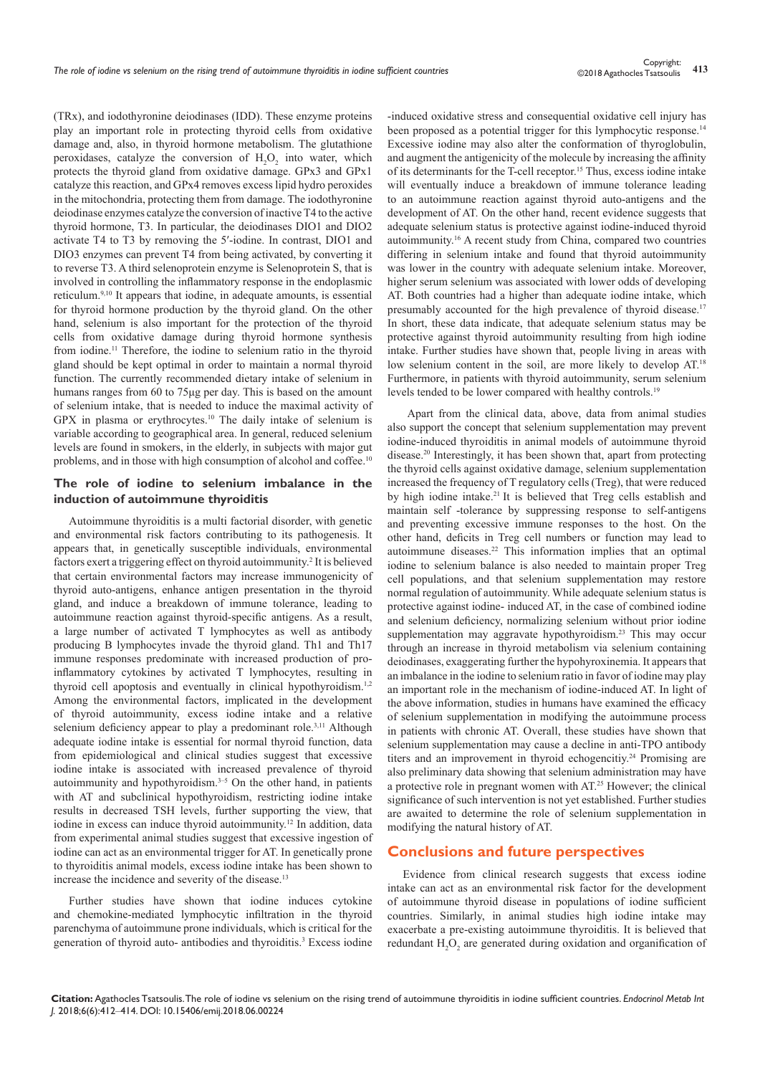(TRx), and iodothyronine deiodinases (IDD). These enzyme proteins play an important role in protecting thyroid cells from oxidative damage and, also, in thyroid hormone metabolism. The glutathione peroxidases, catalyze the conversion of  $H_2O_2$  into water, which protects the thyroid gland from oxidative damage. GPx3 and GPx1 catalyze this reaction, and GPx4 removes excess lipid hydro peroxides in the mitochondria, protecting them from damage. The iodothyronine deiodinase enzymes catalyze the conversion of inactive T4 to the active thyroid hormone, T3. In particular, the deiodinases DIO1 and DIO2 activate T4 to T3 by removing the 5′-iodine. In contrast, DIO1 and DIO3 enzymes can prevent T4 from being activated, by converting it to reverse T3. A third selenoprotein enzyme is Selenoprotein S, that is involved in controlling the inflammatory response in the endoplasmic reticulum.9,10 Ιt appears that iodine, in adequate amounts, is essential for thyroid hormone production by the thyroid gland. On the other hand, selenium is also important for the protection of the thyroid cells from oxidative damage during thyroid hormone synthesis from iodine.<sup>11</sup> Therefore, the iodine to selenium ratio in the thyroid gland should be kept optimal in order to maintain a normal thyroid function. The currently recommended dietary intake of selenium in humans ranges from 60 to 75μg per day. This is based on the amount of selenium intake, that is needed to induce the maximal activity of GPX in plasma or erythrocytes.10 The daily intake of selenium is variable according to geographical area. In general, reduced selenium levels are found in smokers, in the elderly, in subjects with major gut problems, and in those with high consumption of alcohol and coffee.<sup>10</sup>

### **The role of iodine to selenium imbalance in the induction of autoimmune thyroiditis**

Autoimmune thyroiditis is a multi factorial disorder, with genetic and environmental risk factors contributing to its pathogenesis. It appears that, in genetically susceptible individuals, environmental factors exert a triggering effect on thyroid autoimmunity.<sup>2</sup> It is believed that certain environmental factors may increase immunogenicity of thyroid auto-antigens, enhance antigen presentation in the thyroid gland, and induce a breakdown of immune tolerance, leading to autoimmune reaction against thyroid-specific antigens. As a result, a large number of activated T lymphocytes as well as antibody producing B lymphocytes invade the thyroid gland. Th1 and Th17 immune responses predominate with increased production of proinflammatory cytokines by activated T lymphocytes, resulting in thyroid cell apoptosis and eventually in clinical hypothyroidism.<sup>1,2</sup> Among the environmental factors, implicated in the development of thyroid autoimmunity, excess iodine intake and a relative selenium deficiency appear to play a predominant role.<sup>3,11</sup> Although adequate iodine intake is essential for normal thyroid function, data from epidemiological and clinical studies suggest that excessive iodine intake is associated with increased prevalence of thyroid autoimmunity and hypothyroidism. $3-5$  On the other hand, in patients with AT and subclinical hypothyroidism, restricting iodine intake results in decreased TSH levels, further supporting the view, that iodine in excess can induce thyroid autoimmunity.12 In addition, data from experimental animal studies suggest that excessive ingestion of iodine can act as an environmental trigger for AT. In genetically prone to thyroiditis animal models, excess iodine intake has been shown to increase the incidence and severity of the disease.<sup>13</sup>

Further studies have shown that iodine induces cytokine and chemokine-mediated lymphocytic infiltration in the thyroid parenchyma of autoimmune prone individuals, which is critical for the generation of thyroid auto- antibodies and thyroiditis.<sup>3</sup> Excess iodine -induced oxidative stress and consequential oxidative cell injury has been proposed as a potential trigger for this lymphocytic response.<sup>14</sup> Excessive iodine may also alter the conformation of thyroglobulin, and augment the antigenicity of the molecule by increasing the affinity of its determinants for the T-cell receptor.15 Thus, excess iodine intake will eventually induce a breakdown of immune tolerance leading to an autoimmune reaction against thyroid auto-antigens and the development of AT. On the other hand, recent evidence suggests that adequate selenium status is protective against iodine-induced thyroid autoimmunity.<sup>16</sup> A recent study from China, compared two countries differing in selenium intake and found that thyroid autoimmunity was lower in the country with adequate selenium intake. Moreover, higher serum selenium was associated with lower odds of developing AT. Both countries had a higher than adequate iodine intake, which presumably accounted for the high prevalence of thyroid disease.<sup>17</sup> In short, these data indicate, that adequate selenium status may be protective against thyroid autoimmunity resulting from high iodine intake. Further studies have shown that, people living in areas with low selenium content in the soil, are more likely to develop AT.<sup>18</sup> Furthermore, in patients with thyroid autoimmunity, serum selenium levels tended to be lower compared with healthy controls.<sup>19</sup>

 Apart from the clinical data, above, data from animal studies also support the concept that selenium supplementation may prevent iodine-induced thyroiditis in animal models of autoimmune thyroid disease.20 Interestingly, it has been shown that, apart from protecting the thyroid cells against oxidative damage, selenium supplementation increased the frequency of T regulatory cells (Treg), that were reduced by high iodine intake.<sup>21</sup> It is believed that Treg cells establish and maintain self -tolerance by suppressing response to self-antigens and preventing excessive immune responses to the host. On the other hand, deficits in Treg cell numbers or function may lead to autoimmune diseases.22 This information implies that an optimal iodine to selenium balance is also needed to maintain proper Treg cell populations, and that selenium supplementation may restore normal regulation of autoimmunity. While adequate selenium status is protective against iodine- induced AT, in the case of combined iodine and selenium deficiency, normalizing selenium without prior iodine supplementation may aggravate hypothyroidism.<sup>23</sup> This may occur through an increase in thyroid metabolism via selenium containing deiodinases, exaggerating further the hypohyroxinemia. It appears that an imbalance in the iodine to selenium ratio in favor of iodine may play an important role in the mechanism of iodine-induced AT. In light of the above information, studies in humans have examined the efficacy of selenium supplementation in modifying the autoimmune process in patients with chronic AT. Overall, these studies have shown that selenium supplementation may cause a decline in anti-TPO antibody titers and an improvement in thyroid echogencitiy.<sup>24</sup> Promising are also preliminary data showing that selenium administration may have a protective role in pregnant women with AT.25 However; the clinical significance of such intervention is not yet established. Further studies are awaited to determine the role of selenium supplementation in modifying the natural history of AT.

### **Conclusions and future perspectives**

Evidence from clinical research suggests that excess iodine intake can act as an environmental risk factor for the development of autoimmune thyroid disease in populations of iodine sufficient countries. Similarly, in animal studies high iodine intake may exacerbate a pre-existing autoimmune thyroiditis. It is believed that redundant  $H_2O_2$  are generated during oxidation and organification of